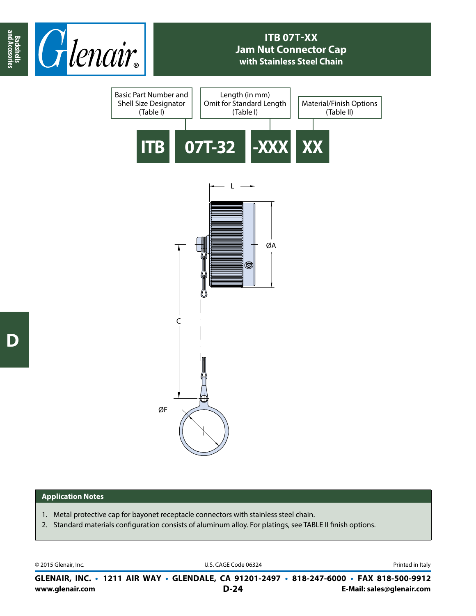

## **ITB 07T-XX Jam Nut Connector Cap with Stainless Steel Chain**



## **Application Notes**

- 1. Metal protective cap for bayonet receptacle connectors with stainless steel chain.
- 2. Standard materials configuration consists of aluminum alloy. For platings, see TABLE II finish options.

© 2015 Glenair, Inc. U.S. CAGE Code 06324 Printed in Italy

**www.glenair.com E-Mail: sales@glenair.com GLENAIR, INC. • 1211 AIR WAY • GLENDALE, CA 91201-2497 • 818-247-6000 • FAX 818-500-9912 D-24**

**and Accesories**